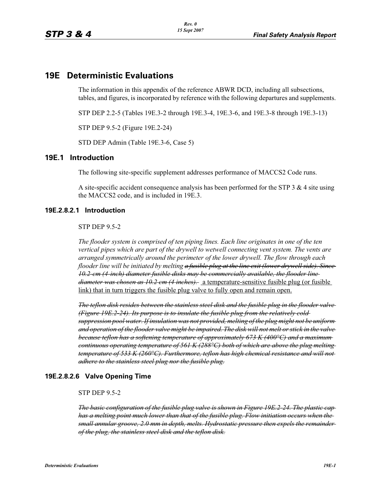### **19E Deterministic Evaluations**

The information in this appendix of the reference ABWR DCD, including all subsections, tables, and figures, is incorporated by reference with the following departures and supplements.

STP DEP 2.2-5 (Tables 19E.3-2 through 19E.3-4, 19E.3-6, and 19E.3-8 through 19E.3-13)

STP DEP 9.5-2 (Figure 19E.2-24)

STD DEP Admin (Table 19E.3-6, Case 5)

#### **19E.1 Introduction**

The following site-specific supplement addresses performance of MACCS2 Code runs.

A site-specific accident consequence analysis has been performed for the STP 3  $\&$  4 site using the MACCS2 code, and is included in 19E.3.

#### **19E.2.8.2.1 Introduction**

STP DEP 9.5-2

*The flooder system is comprised of ten piping lines. Each line originates in one of the ten vertical pipes which are part of the drywell to wetwell connecting vent system. The vents are arranged symmetrically around the perimeter of the lower drywell. The flow through each flooder line will be initiated by melting a fusible plug at the line exit (lower drywell side). Since 10.2-cm (4-inch) diameter fusible disks may be commercially available, the flooder line diameter was chosen as 10.2 cm (4 inches).* a temperature-sensitive fusible plug (or fusible link) that in turn triggers the fusible plug valve to fully open and remain open.

*The teflon disk resides between the stainless steel disk and the fusible plug in the flooder valve (Figure 19E.2-24). Its purpose is to insulate the fusible plug from the relatively cold suppression pool water. If insulation was not provided, melting of the plug might not be uniform and operation of the flooder valve might be impaired. The disk will not melt or stick in the valve because teflon has a softening temperature of approximately 673 K (400°C) and a maximum continuous operating temperature of 561 K (288°C) both of which are above the plug melting temperature of 533 K (260°C). Furthermore, teflon has high chemical resistance and will not adhere to the stainless steel plug nor the fusible plug.*

#### **19E.2.8.2.6 Valve Opening Time**

#### STP DEP 9.5-2

*The basic configuration of the fusible plug valve is shown in Figure 19E.2-24. The plastic cap has a melting point much lower than that of the fusible plug. Flow initiation occurs when the small annular groove, 2.0 mm in depth, melts. Hydrostatic pressure then expels the remainder of the plug, the stainless steel disk and the teflon disk.*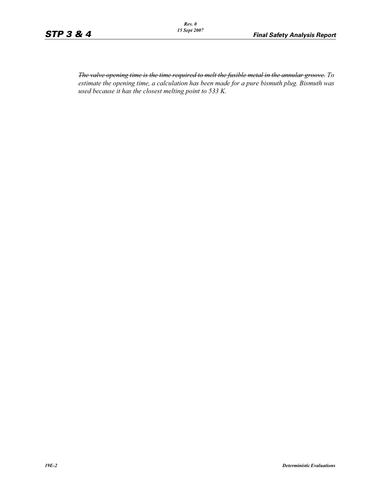*The valve opening time is the time required to melt the fusible metal in the annular groove. To estimate the opening time, a calculation has been made for a pure bismuth plug. Bismuth was used because it has the closest melting point to 533 K.*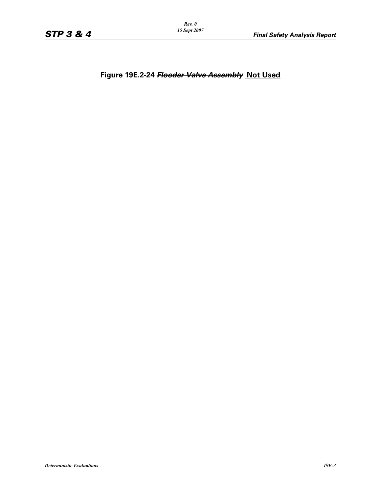*Rev. 0 15 Sept 2007*

**Figure 19E.2-24** *Flooder Valve Assembly* **Not Used**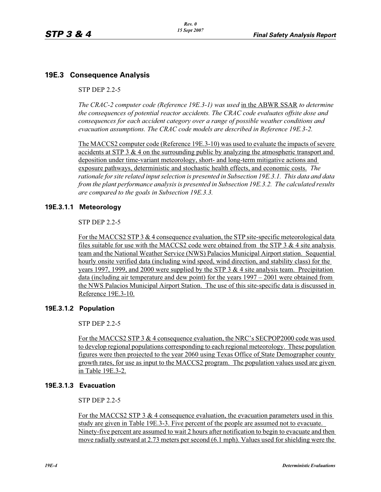### **19E.3 Consequence Analysis**

#### STP DEP 2.2-5

*The CRAC-2 computer code (Reference 19E.3-1) was used* in the ABWR SSAR *to determine the consequences of potential reactor accidents. The CRAC code evaluates offsite dose and consequences for each accident category over a range of possible weather conditions and evacuation assumptions. The CRAC code models are described in Reference 19E.3-2.* 

The MACCS2 computer code (Reference 19E.3-10) was used to evaluate the impacts of severe accidents at STP 3 & 4 on the surrounding public by analyzing the atmospheric transport and deposition under time-variant meteorology, short- and long-term mitigative actions and exposure pathways, deterministic and stochastic health effects, and economic costs. *The rationale for site related input selection is presented in Subsection 19E.3.1. This data and data from the plant performance analysis is presented in Subsection 19E.3.2. The calculated results are compared to the goals in Subsection 19E.3.3.*

### **19E.3.1.1 Meteorology**

STP DEP 2.2-5

For the MACCS2 STP 3 & 4 consequence evaluation, the STP site-specific meteorological data files suitable for use with the MACCS2 code were obtained from the STP  $3 \& 4$  site analysis team and the National Weather Service (NWS) Palacios Municipal Airport station. Sequential hourly onsite verified data (including wind speed, wind direction, and stability class) for the years 1997, 1999, and 2000 were supplied by the STP 3  $\&$  4 site analysis team. Precipitation data (including air temperature and dew point) for the years 1997 – 2001 were obtained from the NWS Palacios Municipal Airport Station. The use of this site-specific data is discussed in Reference 19E.3-10.

### **19E.3.1.2 Population**

STP DEP 2.2-5

For the MACCS2 STP 3 & 4 consequence evaluation, the NRC's SECPOP2000 code was used to develop regional populations corresponding to each regional meteorology. These population figures were then projected to the year 2060 using Texas Office of State Demographer county growth rates, for use as input to the MACCS2 program. The population values used are given in Table 19E.3-2.

### **19E.3.1.3 Evacuation**

STP DEP 2.2-5

For the MACCS2 STP 3  $&$  4 consequence evaluation, the evacuation parameters used in this study are given in Table 19E.3-3. Five percent of the people are assumed not to evacuate. Ninety-five percent are assumed to wait 2 hours after notification to begin to evacuate and then move radially outward at 2.73 meters per second (6.1 mph). Values used for shielding were the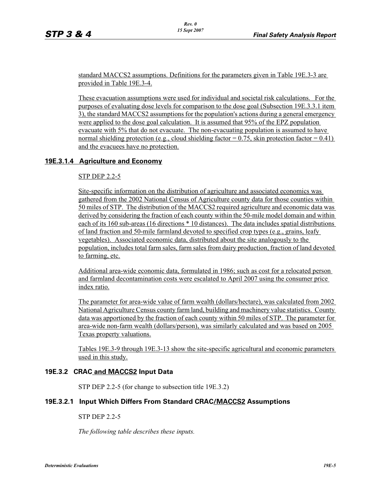standard MACCS2 assumptions. Definitions for the parameters given in Table 19E.3-3 are provided in Table 19E.3-4.

These evacuation assumptions were used for individual and societal risk calculations. For the purposes of evaluating dose levels for comparison to the dose goal (Subsection 19E.3.3.1 item 3), the standard MACCS2 assumptions for the population's actions during a general emergency were applied to the dose goal calculation. It is assumed that 95% of the EPZ population evacuate with 5% that do not evacuate. The non-evacuating population is assumed to have normal shielding protection (e.g., cloud shielding factor  $= 0.75$ , skin protection factor  $= 0.41$ ) and the evacuees have no protection.

#### **19E.3.1.4 Agriculture and Economy**

#### STP DEP 2.2-5

Site-specific information on the distribution of agriculture and associated economics was gathered from the 2002 National Census of Agriculture county data for those counties within 50 miles of STP. The distribution of the MACCS2 required agriculture and economic data was derived by considering the fraction of each county within the 50-mile model domain and within each of its 160 sub-areas (16 directions \* 10 distances). The data includes spatial distributions of land fraction and 50-mile farmland devoted to specified crop types (e.g., grains, leafy vegetables). Associated economic data, distributed about the site analogously to the population, includes total farm sales, farm sales from dairy production, fraction of land devoted to farming, etc.

Additional area-wide economic data, formulated in 1986; such as cost for a relocated person and farmland decontamination costs were escalated to April 2007 using the consumer price index ratio.

The parameter for area-wide value of farm wealth (dollars/hectare), was calculated from 2002 National Agriculture Census county farm land, building and machinery value statistics. County data was apportioned by the fraction of each county within 50 miles of STP. The parameter for area-wide non-farm wealth (dollars/person), was similarly calculated and was based on 2005 Texas property valuations.

Tables 19E.3-9 through 19E.3-13 show the site-specific agricultural and economic parameters used in this study.

#### **19E.3.2 CRAC and MACCS2 Input Data**

STP DEP 2.2-5 (for change to subsection title 19E.3.2)

#### **19E.3.2.1 Input Which Differs From Standard CRAC/MACCS2 Assumptions**

#### STP DEP 2.2-5

*The following table describes these inputs.*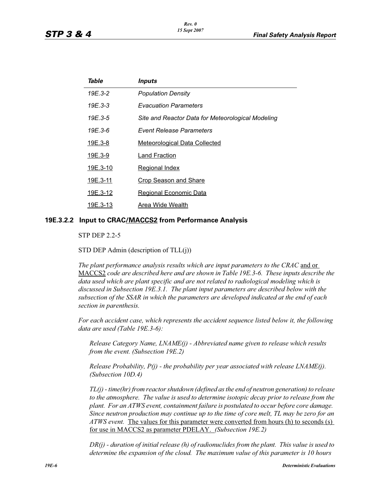| Table          | Inputs                                            |
|----------------|---------------------------------------------------|
| 19E.3-2        | <b>Population Density</b>                         |
| $19E.3-3$      | <b>Evacuation Parameters</b>                      |
| $19E.3 - 5$    | Site and Reactor Data for Meteorological Modeling |
| $19E.3-6$      | Event Release Parameters                          |
| <u>19E.3-8</u> | <b>Meteorological Data Collected</b>              |
| <u>19E.3-9</u> | Land Fraction                                     |
| 19E.3-10       | <b>Regional Index</b>                             |
| 19E.3-11       | <b>Crop Season and Share</b>                      |
| 19E.3-12       | <b>Regional Economic Data</b>                     |
| 19E.3-13       | Area Wide Wealth                                  |
|                |                                                   |

#### **19E.3.2.2 Input to CRAC/MACCS2 from Performance Analysis**

STP DEP 2.2-5

STD DEP Admin (description of TLL(j))

*The plant performance analysis results which are input parameters to the CRAC* and or MACCS2 *code are described here and are shown in Table 19E.3-6. These inputs describe the data used which are plant specific and are not related to radiological modeling which is discussed in Subsection 19E.3.1. The plant input parameters are described below with the subsection of the SSAR in which the parameters are developed indicated at the end of each section in parenthesis.*

*For each accident case, which represents the accident sequence listed below it, the following data are used (Table 19E.3-6):*

*Release Category Name, LNAME(j) - Abbreviated name given to release which results from the event. (Subsection 19E.2)*

*Release Probability, P(j) - the probability per year associated with release LNAME(j). (Subsection 10D.4)*

*TL(j) - time(hr) from reactor shutdown (defined as the end of neutron generation) to release to the atmosphere. The value is used to determine isotopic decay prior to release from the plant. For an ATWS event, containment failure is postulated to occur before core damage. Since neutron production may continue up to the time of core melt, TL may be zero for an ATWS event.* The values for this parameter were converted from hours (h) to seconds (s) for use in MACCS2 as parameter PDELAY. *(Subsection 19E.2)*

*DR(j) - duration of initial release (h) of radionuclides from the plant. This value is used to determine the expansion of the cloud. The maximum value of this parameter is 10 hours*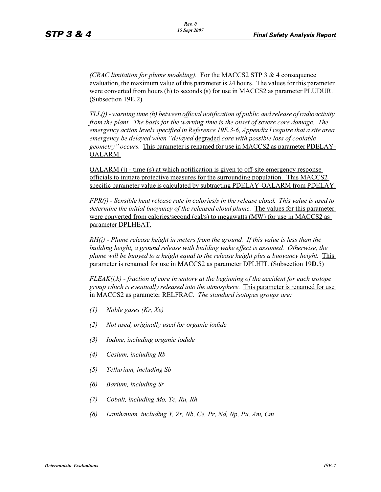*(CRAC limitation for plume modeling).* For the MACCS2 STP 3 & 4 consequence evaluation, the maximum value of this parameter is 24 hours. The values for this parameter were converted from hours (h) to seconds (s) for use in MACCS2 as parameter PLUDUR. (Subsection 19**E**.2)

*TLL(j) - warning time (h) between official notification of public and release of radioactivity from the plant. The basis for the warning time is the onset of severe core damage. The emergency action levels specified in Reference 19E.3-6, Appendix I require that a site area emergency be delayed when "delayed* degraded *core with possible loss of coolable geometry" occurs.* This parameter is renamed for use in MACCS2 as parameter PDELAY-OALARM.

 $OALARM$  (j) - time (s) at which notification is given to off-site emergency response officials to initiate protective measures for the surrounding population. This MACCS2 specific parameter value is calculated by subtracting PDELAY-OALARM from PDELAY.

*FPR(j) - Sensible heat release rate in calories/s in the release cloud. This value is used to determine the initial buoyancy of the released cloud plume.* The values for this parameter were converted from calories/second (cal/s) to megawatts (MW) for use in MACCS2 as parameter DPLHEAT.

*RH(j) - Plume release height in meters from the ground. If this value is less than the building height, a ground release with building wake effect is assumed. Otherwise, the plume will be buoyed to a height equal to the release height plus a buoyancy height.* This parameter is renamed for use in MACCS2 as parameter DPLHIT. (Subsection 19**D**.5)

*FLEAK(j,k) - fraction of core inventory at the beginning of the accident for each isotope group which is eventually released into the atmosphere.* This parameter is renamed for use in MACCS2 as parameter RELFRAC. *The standard isotopes groups are:*

- *(1) Noble gases (Kr, Xe)*
- *(2) Not used, originally used for organic iodide*
- *(3) Iodine, including organic iodide*
- *(4) Cesium, including Rb*
- *(5) Tellurium, including Sb*
- *(6) Barium, including Sr*
- *(7) Cobalt, including Mo, Tc, Ru, Rh*
- *(8) Lanthanum, including Y, Zr, Nb, Ce, Pr, Nd, Np, Pu, Am, Cm*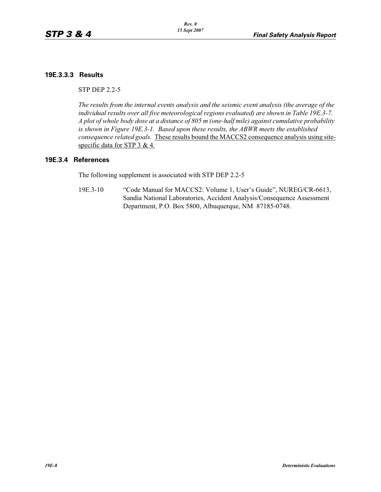### **19E.3.3.3 Results**

STP DEP 2.2-5

*The results from the internal events analysis and the seismic event analysis (the average of the individual results over all five meteorological regions evaluated) are shown in Table 19E.3-7. A plot of whole body dose at a distance of 805 m (one-half mile) against cumulative probability is shown in Figure 19E.3-1. Based upon these results, the ABWR meets the established consequence related goals.* These results bound the MACCS2 consequence analysis using sitespecific data for STP 3 & 4.

#### **19E.3.4 References**

The following supplement is associated with STP DEP 2.2-5

19E.3-10 "Code Manual for MACCS2: Volume 1, User's Guide", NUREG/CR-6613, Sandia National Laboratories, Accident Analysis/Consequence Assessment Department, P.O. Box 5800, Albuquerque, NM 87185-0748.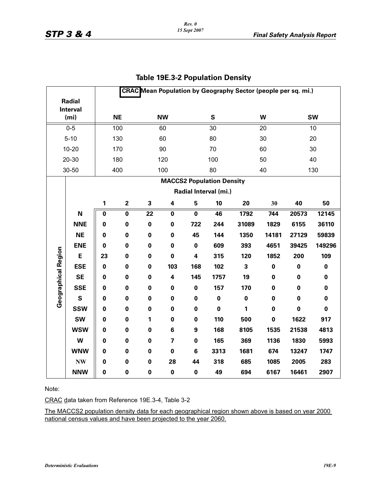|                                      |            |             | <b>CRAC</b> Mean Population by Geography Sector (people per sq. mi.) |             |                         |                  |                                  |           |                 |                 |           |  |  |
|--------------------------------------|------------|-------------|----------------------------------------------------------------------|-------------|-------------------------|------------------|----------------------------------|-----------|-----------------|-----------------|-----------|--|--|
|                                      | Radial     |             |                                                                      |             |                         |                  |                                  |           |                 |                 |           |  |  |
| <b>Interval</b><br>(m <sub>i</sub> ) |            |             | <b>NE</b>                                                            |             | <b>NW</b>               |                  | S                                |           | W               | <b>SW</b>       |           |  |  |
|                                      | $0 - 5$    |             | 100                                                                  |             | 60                      |                  | $\overline{30}$                  |           | $\overline{20}$ | $\overline{10}$ |           |  |  |
|                                      | $5 - 10$   |             | 130                                                                  |             | 60                      |                  |                                  |           | 30              | 20              |           |  |  |
|                                      |            |             |                                                                      |             |                         |                  | 80                               |           |                 |                 |           |  |  |
|                                      | $10 - 20$  |             | 170                                                                  |             | 90                      |                  | 70                               |           | 60              |                 | 30        |  |  |
|                                      | 20-30      |             | 180                                                                  |             | 120                     |                  | 100                              |           | 50              |                 | 40        |  |  |
|                                      | 30-50      |             | 400                                                                  |             | 100                     |                  | 80                               |           | 40              |                 | 130       |  |  |
|                                      |            |             |                                                                      |             |                         |                  | <b>MACCS2 Population Density</b> |           |                 |                 |           |  |  |
|                                      |            |             |                                                                      |             |                         |                  | Radial Interval (mi.)            |           |                 |                 |           |  |  |
|                                      |            | 1           | $\mathbf 2$                                                          | 3           | 4                       | 5                | 10                               | 20        | 30              | 40              | 50        |  |  |
|                                      | N          | $\pmb{0}$   | $\mathbf 0$                                                          | 22          | $\pmb{0}$               | $\mathbf 0$      | 46                               | 1792      | 744             | 20573           | 12145     |  |  |
|                                      | <b>NNE</b> | $\mathbf 0$ | $\mathbf 0$                                                          | $\pmb{0}$   | $\pmb{0}$               | 722              | 244                              | 31089     | 1829            | 6155            | 36110     |  |  |
|                                      | <b>NE</b>  | $\mathbf 0$ | $\bf{0}$                                                             | $\mathbf 0$ | $\mathbf 0$             | 45               | 144                              | 1350      | 14181           | 27129           | 59839     |  |  |
|                                      | <b>ENE</b> | $\pmb{0}$   | $\pmb{0}$                                                            | $\mathbf 0$ | $\pmb{0}$               | $\pmb{0}$        | 609                              | 393       | 4651            | 39425           | 149296    |  |  |
|                                      | E          | 23          | $\mathbf 0$                                                          | $\mathbf 0$ | $\mathbf 0$             | 4                | 315                              | 120       | 1852            | 200             | 109       |  |  |
|                                      | <b>ESE</b> | $\mathbf 0$ | $\bf{0}$                                                             | $\pmb{0}$   | 103                     | 168              | 102                              | 3         | $\mathbf 0$     | $\bf{0}$        | $\pmb{0}$ |  |  |
|                                      | <b>SE</b>  | $\pmb{0}$   | $\pmb{0}$                                                            | $\pmb{0}$   | $\overline{\mathbf{4}}$ | 145              | 1757                             | 19        | 0               | $\bf{0}$        | $\pmb{0}$ |  |  |
|                                      | <b>SSE</b> | $\mathbf 0$ | $\bf{0}$                                                             | $\mathbf 0$ | $\pmb{0}$               | $\pmb{0}$        | 157                              | 170       | $\pmb{0}$       | $\mathbf 0$     | $\pmb{0}$ |  |  |
| <b>Geographical Region</b>           | S          | $\mathbf 0$ | $\bf{0}$                                                             | $\mathbf 0$ | $\pmb{0}$               | $\pmb{0}$        | $\pmb{0}$                        | $\pmb{0}$ | $\mathbf 0$     | $\mathbf 0$     | $\pmb{0}$ |  |  |
|                                      | <b>SSW</b> | $\mathbf 0$ | $\pmb{0}$                                                            | $\pmb{0}$   | $\pmb{0}$               | $\pmb{0}$        | $\mathbf 0$                      | 1         | $\pmb{0}$       | $\mathbf 0$     | $\pmb{0}$ |  |  |
|                                      | <b>SW</b>  | $\mathbf 0$ | 0                                                                    | 1           | $\pmb{0}$               | $\pmb{0}$        | 110                              | 500       | $\pmb{0}$       | 1622            | 917       |  |  |
|                                      | <b>WSW</b> | $\mathbf 0$ | $\mathbf 0$                                                          | $\mathbf 0$ | 6                       | $\boldsymbol{9}$ | 168                              | 8105      | 1535            | 21538           | 4813      |  |  |
|                                      | W          | $\mathbf 0$ | $\mathbf 0$                                                          | $\mathbf 0$ | $\overline{\mathbf{z}}$ | $\pmb{0}$        | 165                              | 369       | 1136            | 1830            | 5993      |  |  |
|                                      | <b>WNW</b> | $\mathbf 0$ | $\bf{0}$                                                             | $\pmb{0}$   | $\pmb{0}$               | 6                | 3313                             | 1681      | 674             | 13247           | 1747      |  |  |
|                                      | <b>NW</b>  | $\mathbf 0$ | $\mathbf 0$                                                          | $\pmb{0}$   | 28                      | 44               | 318                              | 685       | 1085            | 2005            | 283       |  |  |
|                                      | <b>NNW</b> | $\mathbf 0$ | $\mathbf 0$                                                          | $\pmb{0}$   | $\pmb{0}$               | 0                | 49                               | 694       | 6167            | 16461           | 2907      |  |  |

### **Table 19E.3-2 Population Density**

Note:

CRAC data taken from Reference 19E.3-4, Table 3-2

The MACCS2 population density data for each geographical region shown above is based on year 2000 national census values and have been projected to the year 2060.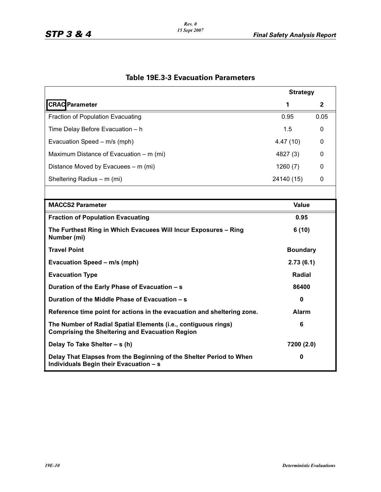|                                                                                                                          | <b>Strategy</b> |      |  |  |
|--------------------------------------------------------------------------------------------------------------------------|-----------------|------|--|--|
| <b>CRAC</b> Parameter                                                                                                    | 1               | 2    |  |  |
| Fraction of Population Evacuating                                                                                        | 0.95            | 0.05 |  |  |
| Time Delay Before Evacuation - h                                                                                         | 1.5             | 0    |  |  |
| Evacuation Speed - m/s (mph)                                                                                             | 4.47(10)        | 0    |  |  |
| Maximum Distance of Evacuation – m (mi)                                                                                  | 4827 (3)        | 0    |  |  |
| Distance Moved by Evacuees - m (mi)                                                                                      | 1260(7)         | 0    |  |  |
| Sheltering Radius - m (mi)                                                                                               | 24140 (15)      | 0    |  |  |
|                                                                                                                          |                 |      |  |  |
| <b>MACCS2 Parameter</b>                                                                                                  | <b>Value</b>    |      |  |  |
| <b>Fraction of Population Evacuating</b>                                                                                 | 0.95            |      |  |  |
| The Furthest Ring in Which Evacuees Will Incur Exposures - Ring<br>Number (mi)                                           | 6(10)           |      |  |  |
| <b>Travel Point</b>                                                                                                      | <b>Boundary</b> |      |  |  |
| Evacuation Speed - m/s (mph)                                                                                             | 2.73(6.1)       |      |  |  |
| <b>Evacuation Type</b>                                                                                                   | Radial          |      |  |  |
| Duration of the Early Phase of Evacuation - s                                                                            | 86400           |      |  |  |
| Duration of the Middle Phase of Evacuation - s                                                                           | $\mathbf 0$     |      |  |  |
| Reference time point for actions in the evacuation and sheltering zone.                                                  | <b>Alarm</b>    |      |  |  |
| The Number of Radial Spatial Elements (i.e., contiguous rings)<br><b>Comprising the Sheltering and Evacuation Region</b> | 6               |      |  |  |
| Delay To Take Shelter - s (h)                                                                                            | 7200 (2.0)      |      |  |  |
| Delay That Elapses from the Beginning of the Shelter Period to When<br>Individuals Begin their Evacuation - s            | 0               |      |  |  |

# **Table 19E.3-3 Evacuation Parameters**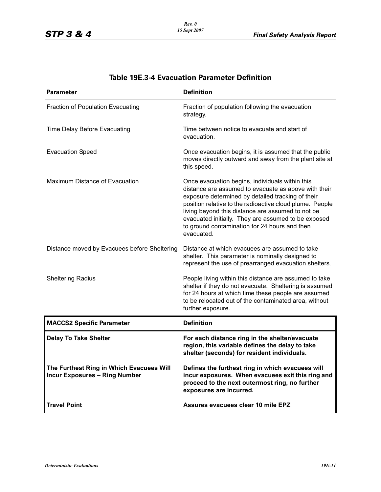| <b>Parameter</b>                                                                 | <b>Definition</b>                                                                                                                                                                                                                                                                                                                                                                                   |
|----------------------------------------------------------------------------------|-----------------------------------------------------------------------------------------------------------------------------------------------------------------------------------------------------------------------------------------------------------------------------------------------------------------------------------------------------------------------------------------------------|
| Fraction of Population Evacuating                                                | Fraction of population following the evacuation<br>strategy.                                                                                                                                                                                                                                                                                                                                        |
| Time Delay Before Evacuating                                                     | Time between notice to evacuate and start of<br>evacuation.                                                                                                                                                                                                                                                                                                                                         |
| <b>Evacuation Speed</b>                                                          | Once evacuation begins, it is assumed that the public<br>moves directly outward and away from the plant site at<br>this speed.                                                                                                                                                                                                                                                                      |
| Maximum Distance of Evacuation                                                   | Once evacuation begins, individuals within this<br>distance are assumed to evacuate as above with their<br>exposure determined by detailed tracking of their<br>position relative to the radioactive cloud plume. People<br>living beyond this distance are assumed to not be<br>evacuated initially. They are assumed to be exposed<br>to ground contamination for 24 hours and then<br>evacuated. |
| Distance moved by Evacuees before Sheltering                                     | Distance at which evacuees are assumed to take<br>shelter. This parameter is nominally designed to<br>represent the use of prearranged evacuation shelters.                                                                                                                                                                                                                                         |
| <b>Sheltering Radius</b>                                                         | People living within this distance are assumed to take<br>shelter if they do not evacuate. Sheltering is assumed<br>for 24 hours at which time these people are assumed<br>to be relocated out of the contaminated area, without<br>further exposure.                                                                                                                                               |
| <b>MACCS2 Specific Parameter</b>                                                 | <b>Definition</b>                                                                                                                                                                                                                                                                                                                                                                                   |
| <b>Delay To Take Shelter</b>                                                     | For each distance ring in the shelter/evacuate<br>region, this variable defines the delay to take<br>shelter (seconds) for resident individuals.                                                                                                                                                                                                                                                    |
| The Furthest Ring in Which Evacuees Will<br><b>Incur Exposures - Ring Number</b> | Defines the furthest ring in which evacuees will<br>incur exposures. When evacuees exit this ring and<br>proceed to the next outermost ring, no further<br>exposures are incurred.                                                                                                                                                                                                                  |
| <b>Travel Point</b>                                                              | Assures evacuees clear 10 mile EPZ                                                                                                                                                                                                                                                                                                                                                                  |

# **Table 19E.3-4 Evacuation Parameter Definition**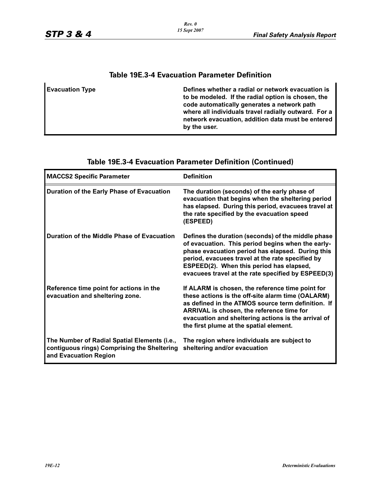| Table 19E.3-4 Evacuation Parameter Definition |                                                                                                                                                                                                                                                                                     |  |  |  |  |  |  |  |
|-----------------------------------------------|-------------------------------------------------------------------------------------------------------------------------------------------------------------------------------------------------------------------------------------------------------------------------------------|--|--|--|--|--|--|--|
| <b>Evacuation Type</b>                        | Defines whether a radial or network evacuation is<br>to be modeled. If the radial option is chosen, the<br>code automatically generates a network path<br>where all individuals travel radially outward. For a<br>network evacuation, addition data must be entered<br>by the user. |  |  |  |  |  |  |  |

# **Table 19E.3-4 Evacuation Parameter Definition**

| <b>MACCS2 Specific Parameter</b>                                                                                     | <b>Definition</b>                                                                                                                                                                                                                                                                                                 |
|----------------------------------------------------------------------------------------------------------------------|-------------------------------------------------------------------------------------------------------------------------------------------------------------------------------------------------------------------------------------------------------------------------------------------------------------------|
| Duration of the Early Phase of Evacuation                                                                            | The duration (seconds) of the early phase of<br>evacuation that begins when the sheltering period<br>has elapsed. During this period, evacuees travel at<br>the rate specified by the evacuation speed<br>(ESPEED)                                                                                                |
| Duration of the Middle Phase of Evacuation                                                                           | Defines the duration (seconds) of the middle phase<br>of evacuation. This period begins when the early-<br>phase evacuation period has elapsed. During this<br>period, evacuees travel at the rate specified by<br>ESPEED(2). When this period has elapsed,<br>evacuees travel at the rate specified by ESPEED(3) |
| Reference time point for actions in the<br>evacuation and sheltering zone.                                           | If ALARM is chosen, the reference time point for<br>these actions is the off-site alarm time (OALARM)<br>as defined in the ATMOS source term definition. If<br>ARRIVAL is chosen, the reference time for<br>evacuation and sheltering actions is the arrival of<br>the first plume at the spatial element.        |
| The Number of Radial Spatial Elements (i.e.,<br>contiguous rings) Comprising the Sheltering<br>and Evacuation Region | The region where individuals are subject to<br>sheltering and/or evacuation                                                                                                                                                                                                                                       |

# **Table 19E.3-4 Evacuation Parameter Definition (Continued)**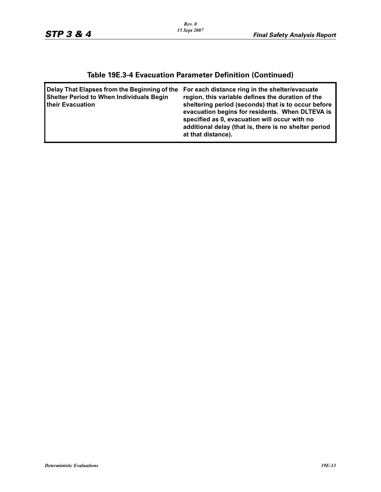# **Table 19E.3-4 Evacuation Parameter Definition (Continued)**

| sheltering period (seconds) that is to occur before<br>evacuation begins for residents. When DLTEVA is<br>specified as 0, evacuation will occur with no<br>additional delay (that is, there is no shelter period<br>at that distance). |
|----------------------------------------------------------------------------------------------------------------------------------------------------------------------------------------------------------------------------------------|
|                                                                                                                                                                                                                                        |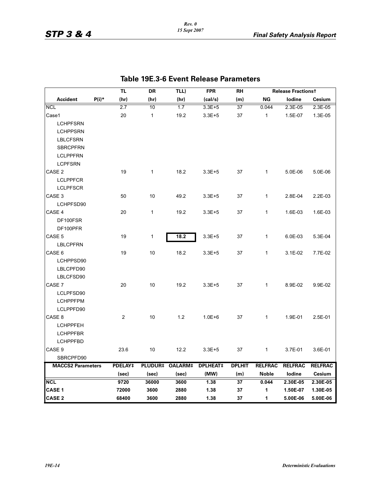|                          |         | TL      | DR              | TLL)           | <b>FPR</b>      | <b>RH</b>     |                | <b>Release Fractionst</b> |                |
|--------------------------|---------|---------|-----------------|----------------|-----------------|---------------|----------------|---------------------------|----------------|
| <b>Accident</b>          | $P(i)*$ | (hr)    | (hr)            | (hr)           | (cal/s)         | (m)           | ΝG             | lodine                    | Cesium         |
| <b>NCL</b>               |         | 2.7     | 10              | 1.7            | $3.3E + 5$      | 37            | 0.044          | 2.3E-05                   | 2.3E-05        |
| Case1                    |         | 20      | $\mathbf{1}$    | 19.2           | $3.3E + 5$      | 37            | $\mathbf{1}$   | 1.5E-07                   | 1.3E-05        |
| <b>LCHPFSRN</b>          |         |         |                 |                |                 |               |                |                           |                |
| <b>LCHPPSRN</b>          |         |         |                 |                |                 |               |                |                           |                |
| <b>LBLCFSRN</b>          |         |         |                 |                |                 |               |                |                           |                |
| <b>SBRCPFRN</b>          |         |         |                 |                |                 |               |                |                           |                |
| <b>LCLPPFRN</b>          |         |         |                 |                |                 |               |                |                           |                |
| <b>LCPFSRN</b>           |         |         |                 |                |                 |               |                |                           |                |
| CASE 2                   |         | 19      | $\mathbf{1}$    | 18.2           | $3.3E + 5$      | 37            | $\mathbf{1}$   | 5.0E-06                   | 5.0E-06        |
| <b>LCLPPFCR</b>          |         |         |                 |                |                 |               |                |                           |                |
| <b>LCLPFSCR</b>          |         |         |                 |                |                 |               |                |                           |                |
| CASE 3                   |         | 50      | 10              | 49.2           | $3.3E + 5$      | 37            | $\mathbf{1}$   | 2.8E-04                   | 2.2E-03        |
| LCHPFSD90                |         |         |                 |                |                 |               |                |                           |                |
| CASE 4                   |         | 20      | $\mathbf{1}$    | 19.2           | $3.3E + 5$      | 37            | $\mathbf{1}$   | 1.6E-03                   | 1.6E-03        |
| DF100FSR                 |         |         |                 |                |                 |               |                |                           |                |
| DF100PFR                 |         |         |                 |                |                 |               |                |                           |                |
| CASE 5                   |         | 19      | 1               | 18.2           | $3.3E + 5$      | 37            | $\mathbf{1}$   | 6.0E-03                   | 5.3E-04        |
| <b>LBLCPFRN</b>          |         |         |                 |                |                 |               |                |                           |                |
| CASE <sub>6</sub>        |         | 19      | 10              | 18.2           | $3.3E + 5$      | 37            | 1              | 3.1E-02                   | 7.7E-02        |
| LCHPPSD90                |         |         |                 |                |                 |               |                |                           |                |
| LBLCPFD90                |         |         |                 |                |                 |               |                |                           |                |
| LBLCFSD90                |         |         |                 |                |                 |               |                |                           |                |
| CASE 7                   |         | 20      | 10 <sup>°</sup> | 19.2           | $3.3E + 5$      | 37            | $\mathbf{1}$   | 8.9E-02                   | 9.9E-02        |
| LCLPFSD90                |         |         |                 |                |                 |               |                |                           |                |
| <b>LCHPPFPM</b>          |         |         |                 |                |                 |               |                |                           |                |
| LCLPPFD90                |         |         |                 |                |                 |               |                |                           |                |
| CASE 8                   |         | 2       | 10 <sup>1</sup> | 1.2            | $1.0E + 6$      | 37            | $\mathbf{1}$   | 1.9E-01                   | 2.5E-01        |
| <b>LCHPPFEH</b>          |         |         |                 |                |                 |               |                |                           |                |
| <b>LCHPPFBR</b>          |         |         |                 |                |                 |               |                |                           |                |
| <b>LCHPPFBD</b>          |         |         |                 |                |                 |               |                |                           |                |
| CASE <sub>9</sub>        |         | 23.6    | 10              | 12.2           | $3.3E + 5$      | 37            | $\mathbf{1}$   | 3.7E-01                   | 3.6E-01        |
| SBRCPFD90                |         |         |                 |                |                 |               |                |                           |                |
| <b>MACCS2 Parameters</b> |         | PDELAY‡ | <b>PLUDUR‡</b>  | <b>OALARM#</b> | <b>DPLHEAT#</b> | <b>DPLHIT</b> | <b>RELFRAC</b> | <b>RELFRAC</b>            | <b>RELFRAC</b> |
|                          |         | (sec)   | (sec)           | (sec)          | (MW)            | (m)           | <b>Noble</b>   | lodine                    | <b>Cesium</b>  |
| <b>NCL</b>               |         | 9720    | 36000           | 3600           | 1.38            | 37            | 0.044          | 2.30E-05                  | 2.30E-05       |
| <b>CASE 1</b>            |         | 72000   | 3600            | 2880           | 1.38            | 37            | 1              | 1.50E-07                  | 1.30E-05       |
| <b>CASE 2</b>            |         | 68400   | 3600            | 2880           | 1.38            | 37            | 1              | 5.00E-06                  | 5.00E-06       |

### **Table 19E.3-6 Event Release Parameters**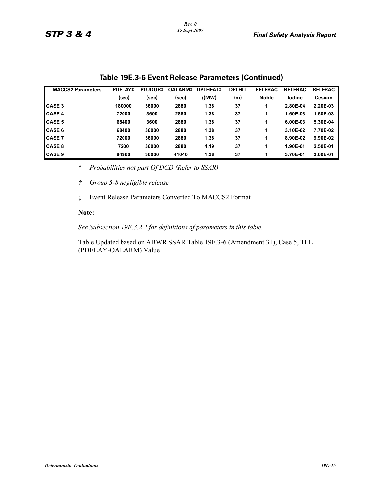| <b>MACCS2 Parameters</b> | <b>PDELAY#</b> | <b>PLUDUR‡</b> | OALARM# | <b>DPLHEAT#</b> | <b>DPLHIT</b> | <b>RELFRAC</b> | <b>RELFRAC</b> | <b>RELFRAC</b> |
|--------------------------|----------------|----------------|---------|-----------------|---------------|----------------|----------------|----------------|
|                          | (sec)          | (sec)          | (sec)   | (MW)            | (m)           | <b>Noble</b>   | lodine         | Cesium         |
| <b>CASE 3</b>            | 180000         | 36000          | 2880    | 1.38            | 37            |                | 2.80E-04       | 2.20E-03       |
| <b>CASE 4</b>            | 72000          | 3600           | 2880    | 1.38            | 37            |                | 1.60E-03       | 1.60E-03       |
| <b>CASE 5</b>            | 68400          | 3600           | 2880    | 1.38            | 37            | 1              | 6.00E-03       | 5.30E-04       |
| <b>CASE 6</b>            | 68400          | 36000          | 2880    | 1.38            | 37            |                | 3.10E-02       | 7.70E-02       |
| <b>CASE 7</b>            | 72000          | 36000          | 2880    | 1.38            | 37            |                | 8.90E-02       | 9.90E-02       |
| <b>CASE 8</b>            | 7200           | 36000          | 2880    | 4.19            | 37            |                | 1.90E-01       | 2.50E-01       |
| <b>CASE 9</b>            | 84960          | 36000          | 41040   | 1.38            | 37            |                | 3.70E-01       | 3.60E-01       |

### **Table 19E.3-6 Event Release Parameters (Continued)**

\* *Probabilities not part Of DCD (Refer to SSAR)*

*† Group 5-8 negligible release*

‡ Event Release Parameters Converted To MACCS2 Format

#### **Note:**

*See Subsection 19E.3.2.2 for definitions of parameters in this table.*

Table Updated based on ABWR SSAR Table 19E.3-6 (Amendment 31), Case 5, TLL (PDELAY-OALARM) Value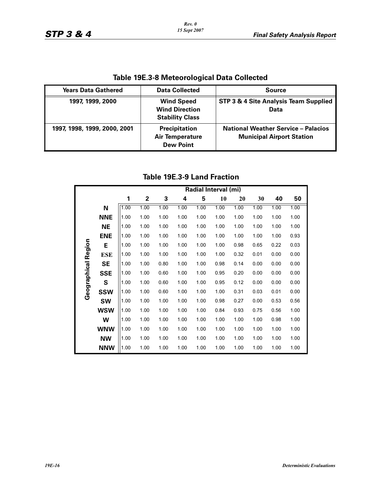| <u>iable 1963-0 intereditional Data Collected</u> |                                                                      |                                                                                |  |  |  |  |  |  |  |  |
|---------------------------------------------------|----------------------------------------------------------------------|--------------------------------------------------------------------------------|--|--|--|--|--|--|--|--|
| <b>Years Data Gathered</b>                        | <b>Data Collected</b>                                                | <b>Source</b>                                                                  |  |  |  |  |  |  |  |  |
| 1997, 1999, 2000                                  | <b>Wind Speed</b><br><b>Wind Direction</b><br><b>Stability Class</b> | STP 3 & 4 Site Analysis Team Supplied<br>Data                                  |  |  |  |  |  |  |  |  |
| 1997, 1998, 1999, 2000, 2001                      | <b>Precipitation</b><br><b>Air Temperature</b><br><b>Dew Point</b>   | <b>National Weather Service - Palacios</b><br><b>Municipal Airport Station</b> |  |  |  |  |  |  |  |  |

**Table 19E.3-8 Meteorological Data Collected**

### **Table 19E.3-9 Land Fraction**

|                     |            |      | Radial Interval (mi) |      |      |      |      |      |      |      |      |  |
|---------------------|------------|------|----------------------|------|------|------|------|------|------|------|------|--|
|                     |            | 1    | 2                    | 3    | 4    | 5    | 10   | 20   | 30   | 40   | 50   |  |
|                     | N          | 1.00 | 1.00                 | 1.00 | 1.00 | 1.00 | 1.00 | 1.00 | 1.00 | 1.00 | 1.00 |  |
|                     | <b>NNE</b> | 1.00 | 1.00                 | 1.00 | 1.00 | 1.00 | 1.00 | 1.00 | 1.00 | 1.00 | 1.00 |  |
|                     | <b>NE</b>  | 1.00 | 1.00                 | 1.00 | 1.00 | 1.00 | 1.00 | 1.00 | 1.00 | 1.00 | 1.00 |  |
|                     | <b>ENE</b> | 1.00 | 1.00                 | 1.00 | 1.00 | 1.00 | 1.00 | 1.00 | 1.00 | 1.00 | 0.93 |  |
|                     | Е          | 1.00 | 1.00                 | 1.00 | 1.00 | 1.00 | 1.00 | 0.98 | 0.65 | 0.22 | 0.03 |  |
| Geographical Region | <b>ESE</b> | 1.00 | 1.00                 | 1.00 | 1.00 | 1.00 | 1.00 | 0.32 | 0.01 | 0.00 | 0.00 |  |
|                     | SE         | 1.00 | 1.00                 | 0.80 | 1.00 | 1.00 | 0.98 | 0.14 | 0.00 | 0.00 | 0.00 |  |
|                     | <b>SSE</b> | 1.00 | 1.00                 | 0.60 | 1.00 | 1.00 | 0.95 | 0.20 | 0.00 | 0.00 | 0.00 |  |
|                     | S          | 1.00 | 1.00                 | 0.60 | 1.00 | 1.00 | 0.95 | 0.12 | 0.00 | 0.00 | 0.00 |  |
|                     | <b>SSW</b> | 1.00 | 1.00                 | 0.60 | 1.00 | 1.00 | 1.00 | 0.31 | 0.03 | 0.01 | 0.00 |  |
|                     | <b>SW</b>  | 1.00 | 1.00                 | 1.00 | 1.00 | 1.00 | 0.98 | 0.27 | 0.00 | 0.53 | 0.56 |  |
|                     | <b>WSW</b> | 1.00 | 1.00                 | 1.00 | 1.00 | 1.00 | 0.84 | 0.93 | 0.75 | 0.56 | 1.00 |  |
|                     | W          | 1.00 | 1.00                 | 1.00 | 1.00 | 1.00 | 1.00 | 1.00 | 1.00 | 0.98 | 1.00 |  |
|                     | <b>WNW</b> | 1.00 | 1.00                 | 1.00 | 1.00 | 1.00 | 1.00 | 1.00 | 1.00 | 1.00 | 1.00 |  |
|                     | <b>NW</b>  | 1.00 | 1.00                 | 1.00 | 1.00 | 1.00 | 1.00 | 1.00 | 1.00 | 1.00 | 1.00 |  |
|                     | <b>NNW</b> | 1.00 | 1.00                 | 1.00 | 1.00 | 1.00 | 1.00 | 1.00 | 1.00 | 1.00 | 1.00 |  |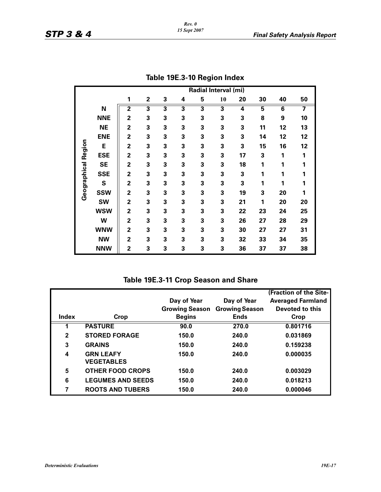|              |            | Radial Interval (mi)    |                         |   |   |   |    |    |    |                         |    |  |
|--------------|------------|-------------------------|-------------------------|---|---|---|----|----|----|-------------------------|----|--|
|              |            | 1                       | $\overline{\mathbf{2}}$ | 3 | 4 | 5 | 10 | 20 | 30 | 40                      | 50 |  |
|              | N          | $\overline{\mathbf{2}}$ | 3                       | 3 | 3 | 3 | 3  | 4  | 5  | $\overline{\mathbf{6}}$ | 7  |  |
|              | <b>NNE</b> | $\overline{2}$          | 3                       | 3 | 3 | 3 | 3  | 3  | 8  | 9                       | 10 |  |
|              | <b>NE</b>  | $\overline{2}$          | 3                       | 3 | 3 | 3 | 3  | 3  | 11 | 12                      | 13 |  |
|              | <b>ENE</b> | $\overline{2}$          | 3                       | 3 | 3 | 3 | 3  | 3  | 14 | 12                      | 12 |  |
|              | E          | $\overline{2}$          | 3                       | 3 | 3 | 3 | 3  | 3  | 15 | 16                      | 12 |  |
| Region       | <b>ESE</b> | $\overline{2}$          | 3                       | 3 | 3 | 3 | 3  | 17 | 3  | 1                       | 1  |  |
|              | <b>SE</b>  | $\overline{2}$          | 3                       | 3 | 3 | 3 | 3  | 18 | 1  | 1                       | 1  |  |
| Geographical | <b>SSE</b> | $\overline{2}$          | 3                       | 3 | 3 | 3 | 3  | 3  | 1  | 1                       | 1  |  |
|              | S          | $\overline{2}$          | 3                       | 3 | 3 | 3 | 3  | 3  | 1  | 1                       | 1  |  |
|              | <b>SSW</b> | $\overline{2}$          | 3                       | 3 | 3 | 3 | 3  | 19 | 3  | 20                      | 1  |  |
|              | <b>SW</b>  | $\overline{2}$          | 3                       | 3 | 3 | 3 | 3  | 21 | 1  | 20                      | 20 |  |
|              | <b>WSW</b> | $\overline{2}$          | 3                       | 3 | 3 | 3 | 3  | 22 | 23 | 24                      | 25 |  |
|              | W          | $\overline{2}$          | 3                       | 3 | 3 | 3 | 3  | 26 | 27 | 28                      | 29 |  |
|              | <b>WNW</b> | $\overline{2}$          | 3                       | 3 | 3 | 3 | 3  | 30 | 27 | 27                      | 31 |  |
|              | <b>NW</b>  | $\overline{2}$          | 3                       | 3 | 3 | 3 | 3  | 32 | 33 | 34                      | 35 |  |
|              | <b>NNW</b> | $\overline{2}$          | 3                       | 3 | 3 | 3 | 3  | 36 | 37 | 37                      | 38 |  |

| Table 19E.3-10 Region Index |  |
|-----------------------------|--|
|                             |  |

**Table 19E.3-11 Crop Season and Share**

|              |                                       |                       |                       | (Fraction of the Site-   |
|--------------|---------------------------------------|-----------------------|-----------------------|--------------------------|
|              |                                       | Day of Year           | Day of Year           | <b>Averaged Farmland</b> |
|              |                                       | <b>Growing Season</b> | <b>Growing Season</b> | Devoted to this          |
| <b>Index</b> | Crop                                  | <b>Begins</b>         | <b>Ends</b>           | Crop                     |
|              | <b>PASTURE</b>                        | 90.0                  | 270.0                 | 0.801716                 |
| $\mathbf{2}$ | <b>STORED FORAGE</b>                  | 150.0                 | 240.0                 | 0.031869                 |
| 3            | <b>GRAINS</b>                         | 150.0                 | 240.0                 | 0.159238                 |
| 4            | <b>GRN LEAFY</b><br><b>VEGETABLES</b> | 150.0                 | 240.0                 | 0.000035                 |
| 5            | <b>OTHER FOOD CROPS</b>               | 150.0                 | 240.0                 | 0.003029                 |
| 6            | <b>LEGUMES AND SEEDS</b>              | 150.0                 | 240.0                 | 0.018213                 |
| 7            | <b>ROOTS AND TUBERS</b>               | 150.0                 | 240.0                 | 0.000046                 |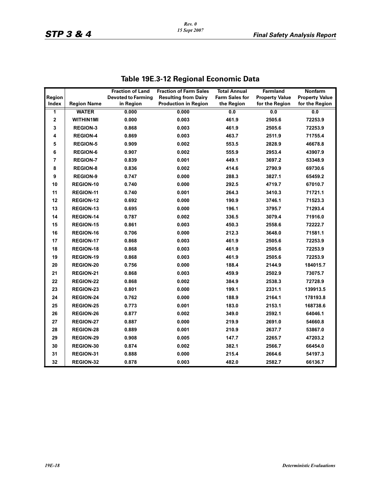|                |                    | <b>Fraction of Land</b>   | <b>Fraction of Farm Sales</b> | <b>Total Annual</b>   | Farmland              | <b>Nonfarm</b>        |
|----------------|--------------------|---------------------------|-------------------------------|-----------------------|-----------------------|-----------------------|
| Region         |                    | <b>Devoted to Farming</b> | <b>Resulting from Dairy</b>   | <b>Farm Sales for</b> | <b>Property Value</b> | <b>Property Value</b> |
| Index          | <b>Region Name</b> | in Region                 | <b>Production in Region</b>   | the Region            | for the Region        | for the Region        |
| $\overline{1}$ | <b>WATER</b>       | 0.000                     | 0.000                         | 0.0                   | 0.0                   | 0.0                   |
| 2              | <b>WITHIN1MI</b>   | 0.000                     | 0.003                         | 461.9                 | 2505.6                | 72253.9               |
| 3              | <b>REGION-3</b>    | 0.868                     | 0.003                         | 461.9                 | 2505.6                | 72253.9               |
| 4              | <b>REGION-4</b>    | 0.869                     | 0.003                         | 463.7                 | 2511.9                | 71755.4               |
| 5              | <b>REGION-5</b>    | 0.909                     | 0.002                         | 553.5                 | 2828.9                | 46678.8               |
| 6              | <b>REGION-6</b>    | 0.907                     | 0.002                         | 555.9                 | 2953.4                | 43907.9               |
| 7              | <b>REGION-7</b>    | 0.839                     | 0.001                         | 449.1                 | 3697.2                | 53348.9               |
| 8              | <b>REGION-8</b>    | 0.836                     | 0.002                         | 414.6                 | 2790.9                | 69730.6               |
| 9              | <b>REGION-9</b>    | 0.747                     | 0.000                         | 288.3                 | 3827.1                | 65459.2               |
| 10             | <b>REGION-10</b>   | 0.740                     | 0.000                         | 292.5                 | 4719.7                | 67010.7               |
| 11             | REGION-11          | 0.740                     | 0.001                         | 264.3                 | 3410.3                | 71721.1               |
| 12             | <b>REGION-12</b>   | 0.692                     | 0.000                         | 190.9                 | 3746.1                | 71523.3               |
| 13             | REGION-13          | 0.695                     | 0.000                         | 196.1                 | 3795.7                | 71293.4               |
| 14             | REGION-14          | 0.787                     | 0.002                         | 336.5                 | 3079.4                | 71916.0               |
| 15             | REGION-15          | 0.861                     | 0.003                         | 450.3                 | 2558.6                | 72222.7               |
| 16             | REGION-16          | 0.706                     | 0.000                         | 212.3                 | 3648.0                | 71581.1               |
| 17             | REGION-17          | 0.868                     | 0.003                         | 461.9                 | 2505.6                | 72253.9               |
| 18             | REGION-18          | 0.868                     | 0.003                         | 461.9                 | 2505.6                | 72253.9               |
| 19             | REGION-19          | 0.868                     | 0.003                         | 461.9                 | 2505.6                | 72253.9               |
| 20             | <b>REGION-20</b>   | 0.756                     | 0.000                         | 188.4                 | 2144.9                | 184015.7              |
| 21             | REGION-21          | 0.868                     | 0.003                         | 459.9                 | 2502.9                | 73075.7               |
| 22             | <b>REGION-22</b>   | 0.868                     | 0.002                         | 384.9                 | 2538.3                | 72728.9               |
| 23             | <b>REGION-23</b>   | 0.801                     | 0.000                         | 199.1                 | 2331.1                | 139913.5              |
| 24             | <b>REGION-24</b>   | 0.762                     | 0.000                         | 188.9                 | 2164.1                | 178193.8              |
| 25             | <b>REGION-25</b>   | 0.773                     | 0.001                         | 183.0                 | 2153.1                | 168738.6              |
| 26             | REGION-26          | 0.877                     | 0.002                         | 349.0                 | 2592.1                | 64046.1               |
| 27             | <b>REGION-27</b>   | 0.887                     | 0.000                         | 219.9                 | 2691.0                | 54660.8               |
| 28             | <b>REGION-28</b>   | 0.889                     | 0.001                         | 210.9                 | 2637.7                | 53867.0               |
| 29             | REGION-29          | 0.908                     | 0.005                         | 147.7                 | 2265.7                | 47203.2               |
| 30             | REGION-30          | 0.874                     | 0.002                         | 382.1                 | 2566.7                | 66454.0               |
| 31             | REGION-31          | 0.888                     | 0.000                         | 215.4                 | 2664.6                | 54197.3               |
| 32             | REGION-32          | 0.878                     | 0.003                         | 482.0                 | 2582.7                | 66136.7               |

# **Table 19E.3-12 Regional Economic Data**